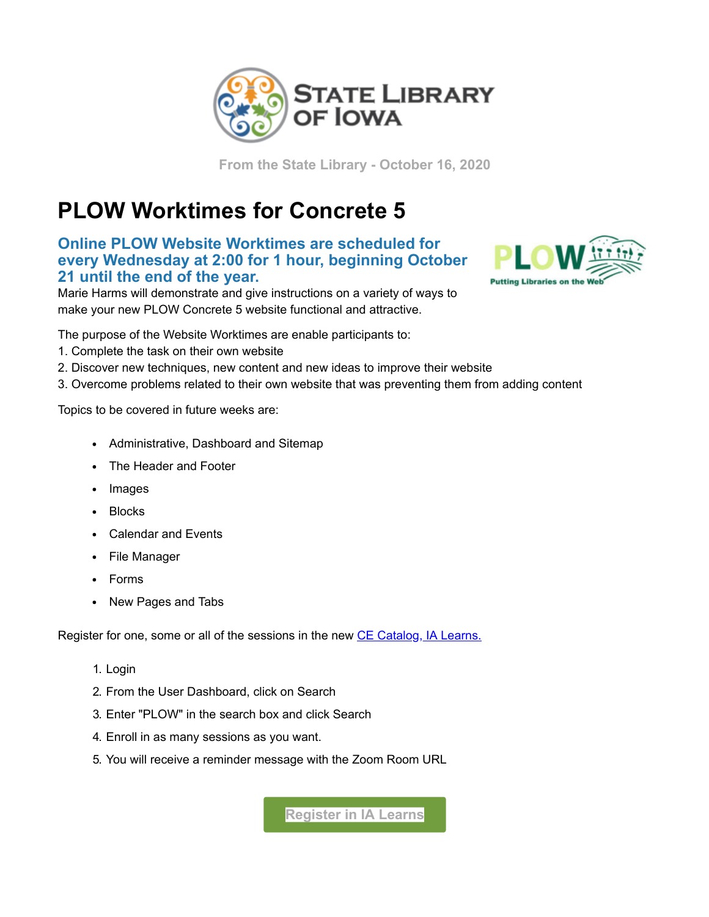

**From the State Library - October 16, 2020**

## **PLOW Worktimes for Concrete 5**

**Online PLOW Website Worktimes are scheduled for every Wednesday at 2:00 for 1 hour, beginning October 21 until the end of the year.**

Marie Harms will demonstrate and give instructions on a variety of ways to make your new PLOW Concrete 5 website functional and attractive.



The purpose of the Website Worktimes are enable participants to:

- 1. Complete the task on their own website
- 2. Discover new techniques, new content and new ideas to improve their website
- 3. Overcome problems related to their own website that was preventing them from adding content

Topics to be covered in future weeks are:

- Administrative, Dashboard and Sitemap
- The Header and Footer
- Images
- Blocks
- Calendar and Events
- File Manager
- Forms
- New Pages and Tabs

Register for one, some or all of the sessions in the new [CE Catalog, IA Learns.](https://lsglm700.learnsoft.com/LSGLM/Login/ialearns.aspx?utm_medium=email&utm_source=govdelivery)

- 1. Login
- 2. From the User Dashboard, click on Search
- 3. Enter "PLOW" in the search box and click Search
- 4. Enroll in as many sessions as you want.
- 5. You will receive a reminder message with the Zoom Room URL

**[Register in IA Learns](https://statelibraryofiowa.lmscheckout.com/?utm_medium=email&utm_source=govdelivery)**